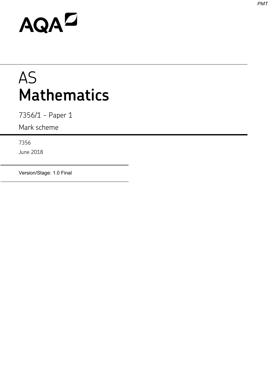# AQAD

## AS **Mathematics**

7356/1 - Paper 1

Mark scheme

7356

June 2018

Version/Stage: 1.0 Final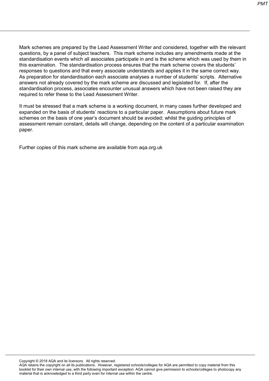*PMT*

Mark schemes are prepared by the Lead Assessment Writer and considered, together with the relevant questions, by a panel of subject teachers. This mark scheme includes any amendments made at the standardisation events which all associates participate in and is the scheme which was used by them in this examination. The standardisation process ensures that the mark scheme covers the students' responses to questions and that every associate understands and applies it in the same correct way. As preparation for standardisation each associate analyses a number of students' scripts. Alternative answers not already covered by the mark scheme are discussed and legislated for. If, after the standardisation process, associates encounter unusual answers which have not been raised they are required to refer these to the Lead Assessment Writer.

It must be stressed that a mark scheme is a working document, in many cases further developed and expanded on the basis of students' reactions to a particular paper. Assumptions about future mark schemes on the basis of one year's document should be avoided; whilst the guiding principles of assessment remain constant, details will change, depending on the content of a particular examination paper.

Further copies of this mark scheme are available from aqa.org.uk

Copyright © 2018 AQA and its licensors. All rights reserved.

AQA retains the copyright on all its publications. However, registered schools/colleges for AQA are permitted to copy material from this booklet for their own internal use, with the following important exception: AQA cannot give permission to schools/colleges to photocopy any material that is acknowledged to a third party even for internal use within the centre.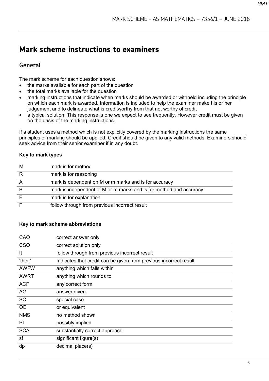### **Mark scheme instructions to examiners**

#### **General**

The mark scheme for each question shows:

- the marks available for each part of the question
- the total marks available for the question
- marking instructions that indicate when marks should be awarded or withheld including the principle on which each mark is awarded. Information is included to help the examiner make his or her judgement and to delineate what is creditworthy from that not worthy of credit
- a typical solution. This response is one we expect to see frequently. However credit must be given on the basis of the marking instructions.

If a student uses a method which is not explicitly covered by the marking instructions the same principles of marking should be applied. Credit should be given to any valid methods. Examiners should seek advice from their senior examiner if in any doubt.

#### **Key to mark types**

| M              | mark is for method                                                 |
|----------------|--------------------------------------------------------------------|
| R              | mark is for reasoning                                              |
| $\overline{A}$ | mark is dependent on M or m marks and is for accuracy              |
| B              | mark is independent of M or m marks and is for method and accuracy |
| Е              | mark is for explanation                                            |
|                | follow through from previous incorrect result                      |

#### **Key to mark scheme abbreviations**

| CAO         | correct answer only                                               |
|-------------|-------------------------------------------------------------------|
| <b>CSO</b>  | correct solution only                                             |
| ft          | follow through from previous incorrect result                     |
| 'their'     | Indicates that credit can be given from previous incorrect result |
| <b>AWFW</b> | anything which falls within                                       |
| <b>AWRT</b> | anything which rounds to                                          |
| <b>ACF</b>  | any correct form                                                  |
| AG          | answer given                                                      |
| <b>SC</b>   | special case                                                      |
| <b>OE</b>   | or equivalent                                                     |
| <b>NMS</b>  | no method shown                                                   |
| PI          | possibly implied                                                  |
| <b>SCA</b>  | substantially correct approach                                    |
| sf          | significant figure(s)                                             |
| dp          | decimal place(s)                                                  |
|             |                                                                   |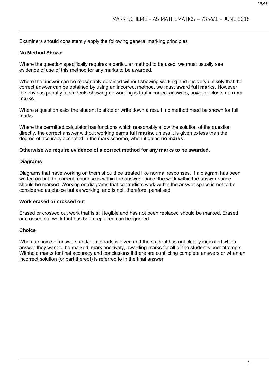Examiners should consistently apply the following general marking principles

#### **No Method Shown**

Where the question specifically requires a particular method to be used, we must usually see evidence of use of this method for any marks to be awarded.

Where the answer can be reasonably obtained without showing working and it is very unlikely that the correct answer can be obtained by using an incorrect method, we must award **full marks**. However, the obvious penalty to students showing no working is that incorrect answers, however close, earn **no marks**.

Where a question asks the student to state or write down a result, no method need be shown for full marks.

Where the permitted calculator has functions which reasonably allow the solution of the question directly, the correct answer without working earns **full marks**, unless it is given to less than the degree of accuracy accepted in the mark scheme, when it gains **no marks**.

#### **Otherwise we require evidence of a correct method for any marks to be awarded.**

#### **Diagrams**

Diagrams that have working on them should be treated like normal responses. If a diagram has been written on but the correct response is within the answer space, the work within the answer space should be marked. Working on diagrams that contradicts work within the answer space is not to be considered as choice but as working, and is not, therefore, penalised.

#### **Work erased or crossed out**

Erased or crossed out work that is still legible and has not been replaced should be marked. Erased or crossed out work that has been replaced can be ignored.

#### **Choice**

When a choice of answers and/or methods is given and the student has not clearly indicated which answer they want to be marked, mark positively, awarding marks for all of the student's best attempts. Withhold marks for final accuracy and conclusions if there are conflicting complete answers or when an incorrect solution (or part thereof) is referred to in the final answer.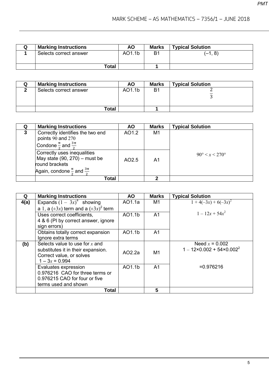| <b>Marking Instructions</b> | <b>AO</b> | <b>Marks</b> | <b>Typical Solution</b> |
|-----------------------------|-----------|--------------|-------------------------|
| Selects correct answer      | AO1.1b    | B1           | (–1, 8)                 |
| <b>Total</b>                |           |              |                         |

| <b>Marking Instructions</b> | <b>AO</b> | <b>Marks</b> | <b>Typical Solution</b> |
|-----------------------------|-----------|--------------|-------------------------|
| Selects correct answer      | AO1.1b    | B1           |                         |
| Total                       |           |              |                         |

| Q | <b>Marking Instructions</b>                                                                                                           | <b>AO</b> | <b>Marks</b> | <b>Typical Solution</b>        |
|---|---------------------------------------------------------------------------------------------------------------------------------------|-----------|--------------|--------------------------------|
| 3 | Correctly identifies the two end<br>points 90 and 270<br>Condone $\frac{\pi}{4}$ and $\frac{3\pi}{4}$                                 | AO1.2     | M1           |                                |
|   | Correctly uses inequalities<br>May state (90, 270) – must be<br>round brackets<br>Again, condone $\frac{\pi}{6}$ and $\frac{3\pi}{6}$ | AO2.5     | A1           | $90^{\circ} < x < 270^{\circ}$ |
|   | Total                                                                                                                                 |           | າ            |                                |

| Q    | <b>Marking Instructions</b>                                                                                            | <b>AO</b> | <b>Marks</b>   | <b>Typical Solution</b>                                       |
|------|------------------------------------------------------------------------------------------------------------------------|-----------|----------------|---------------------------------------------------------------|
| 4(a) | Expands $(1 - \overline{3x})^4$ showing                                                                                | AO1.1a    | M <sub>1</sub> | $1+4(-3x)+6(-3x)^2$                                           |
|      | a 1, a $(\pm 3x)$ term and a $(\pm 3x)^2$ term                                                                         |           |                |                                                               |
|      | Uses correct coefficients,                                                                                             | AO1.1b    | A <sub>1</sub> | $1-12x+54x^2$                                                 |
|      | 4 & 6 (PI by correct answer, ignore<br>sign errors)                                                                    |           |                |                                                               |
|      | Obtains totally correct expansion<br>Ignore extra terms                                                                | AO1.1b    | A1             |                                                               |
| (b)  | Selects value to use for $x$ and<br>substitutes it in their expansion.<br>Correct value, or solves<br>$1 - 3x = 0.994$ | AO2.2a    | M <sub>1</sub> | Need $x = 0.002$<br>$1 - 12 \times 0.002 + 54 \times 0.002^2$ |
|      | Evaluates expression<br>0.976216 CAO for three terms or<br>0.976215 CAO for four or five<br>terms used and shown       | AO1.1b    | A <sub>1</sub> | $= 0.976216$                                                  |
|      | <b>Total</b>                                                                                                           |           | 5              |                                                               |

5

*PMT*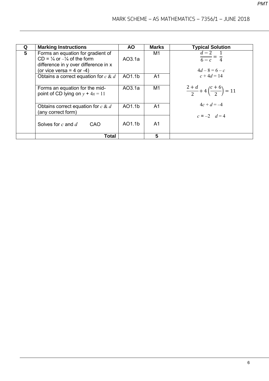| Q | <b>Marking Instructions</b>                                                                                                                                | AO.    | Marks          | <b>Typical Solution</b>                                    |
|---|------------------------------------------------------------------------------------------------------------------------------------------------------------|--------|----------------|------------------------------------------------------------|
| 5 | Forms an equation for gradient of<br>$CD = \frac{1}{4}$ or $-\frac{1}{4}$ of the form<br>difference in y over difference in x<br>(or vice versa = 4 or -4) | AO3.1a | M1             | $d-2$<br>$\frac{1}{6-c} = \frac{1}{4}$<br>$4d - 8 = 6 - c$ |
|   | Obtains a correct equation for $c \& d$                                                                                                                    | AO1.1b | A <sub>1</sub> | $c + 4d = 14$                                              |
|   | Forms an equation for the mid-<br>point of CD lying on $y + 4x = 11$                                                                                       | AO3.1a | M <sub>1</sub> | $rac{2+d}{2}+4\left(\frac{c+6}{2}\right)=11$               |
|   | Obtains correct equation for $c \& d$<br>(any correct form)                                                                                                | AO1.1b | A <sub>1</sub> | $4c + d = -4$<br>$c = -2$ $d = 4$                          |
|   | Solves for $c$ and $d$<br>CAO                                                                                                                              | AO1.1b | A1             |                                                            |
|   | <b>Total</b>                                                                                                                                               |        | 5              |                                                            |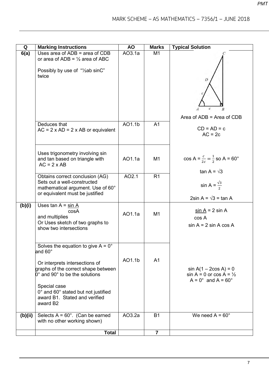| Q       | <b>Marking Instructions</b>                                             | <b>AO</b> | <b>Marks</b>   | <b>Typical Solution</b>                          |
|---------|-------------------------------------------------------------------------|-----------|----------------|--------------------------------------------------|
| 6(a)    | Uses area of $ADB = area of CDB$                                        | AO3.1a    | M <sub>1</sub> |                                                  |
|         | or area of ADB = $\frac{1}{2}$ area of ABC                              |           |                |                                                  |
|         | Possibly by use of "/2ab sinC"                                          |           |                |                                                  |
|         | twice                                                                   |           |                |                                                  |
|         |                                                                         |           |                | D                                                |
|         |                                                                         |           |                |                                                  |
|         |                                                                         |           |                |                                                  |
|         |                                                                         |           |                |                                                  |
|         |                                                                         |           |                | $\boldsymbol{c}$<br>$\overline{B}$               |
|         |                                                                         |           |                | Area of $ADB = Area$ of $CDB$                    |
|         | Deduces that                                                            | AO1.1b    | A <sub>1</sub> |                                                  |
|         | $AC = 2 \times AD = 2 \times AB$ or equivalent                          |           |                | $CD = AD = c$                                    |
|         |                                                                         |           |                | $AC = 2c$                                        |
|         |                                                                         |           |                |                                                  |
|         | Uses trigonometry involving sin                                         |           |                |                                                  |
|         | and tan based on triangle with                                          | AO1.1a    | M <sub>1</sub> | $\cos A = \frac{c}{2c} = \frac{1}{2}$ so A = 60° |
|         | $AC = 2 \times AB$                                                      |           |                |                                                  |
|         | Obtains correct conclusion (AG)                                         | AO2.1     | R <sub>1</sub> | tan A = $\sqrt{3}$                               |
|         | Sets out a well-constructed                                             |           |                |                                                  |
|         | mathematical argument. Use of 60°                                       |           |                | sin A = $\frac{\sqrt{3}}{2}$                     |
|         | or equivalent must be justified                                         |           |                | 2sin A = $\sqrt{3}$ = tan A                      |
| (b)(i)  | Uses tan $A = \sin A$                                                   |           |                |                                                  |
|         | cosA                                                                    | AO1.1a    |                | $\sin A = 2 \sin A$                              |
|         | and multiplies                                                          |           | M <sub>1</sub> | cos A                                            |
|         | Or Uses sketch of two graphs to                                         |           |                | $sin A = 2 sin A cos A$                          |
|         | show two intersections                                                  |           |                |                                                  |
|         |                                                                         |           |                |                                                  |
|         | Solves the equation to give $A = 0^\circ$                               |           |                |                                                  |
|         | and 60 $^{\circ}$                                                       |           |                |                                                  |
|         | Or interprets intersections of                                          | AO1.1b    | A <sub>1</sub> |                                                  |
|         | graphs of the correct shape between                                     |           |                | $sin A(1 - 2cos A) = 0$                          |
|         | $0^{\circ}$ and 90 $^{\circ}$ to be the solutions                       |           |                | $sin A = 0$ or $cos A = \frac{1}{2}$             |
|         |                                                                         |           |                | $A = 0^\circ$ and $A = 60^\circ$                 |
|         | Special case<br>0° and 60° stated but not justified                     |           |                |                                                  |
|         | award B1. Stated and verified                                           |           |                |                                                  |
|         | award B2                                                                |           |                |                                                  |
|         |                                                                         | AO3.2a    |                | We need $A = 60^\circ$                           |
| (b)(ii) | Selects $A = 60^\circ$ . (Can be earned<br>with no other working shown) |           | <b>B1</b>      |                                                  |
|         |                                                                         |           |                |                                                  |
|         | <b>Total</b>                                                            |           | $\overline{7}$ |                                                  |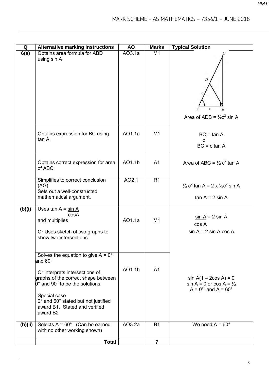| Q       | <b>Alternative marking Instructions</b>                                                                                                                                                            | <b>AO</b> | <b>Marks</b>   | <b>Typical Solution</b>                                                                             |
|---------|----------------------------------------------------------------------------------------------------------------------------------------------------------------------------------------------------|-----------|----------------|-----------------------------------------------------------------------------------------------------|
| 6(a)    | Obtains area formula for ABD<br>using sin A                                                                                                                                                        | AO3.1a    | M1             | D<br>c<br>$\boldsymbol{B}$                                                                          |
|         | Obtains expression for BC using<br>tan A                                                                                                                                                           | AO1.1a    | M <sub>1</sub> | Area of ADB = $\frac{1}{2}c^2$ sin A<br>$\underline{BC}$ = tan A<br>C                               |
|         | Obtains correct expression for area                                                                                                                                                                | AO1.1b    | A <sub>1</sub> | $BC = c \tan A$<br>Area of ABC = $\frac{1}{2}$ c <sup>2</sup> tan A                                 |
|         | of ABC<br>Simplifies to correct conclusion                                                                                                                                                         | AO2.1     | R1             |                                                                                                     |
|         | (AG)<br>Sets out a well-constructed<br>mathematical argument.                                                                                                                                      |           |                | $\frac{1}{2}$ c <sup>2</sup> tan A = 2 x $\frac{1}{2}$ c <sup>2</sup> sin A<br>$tan A = 2 sin A$    |
| (b)(i)  | Uses tan $A = \sin A$<br>cosA<br>and multiplies<br>Or Uses sketch of two graphs to<br>show two intersections                                                                                       | AO1.1a    | M1             | $\sin A = 2 \sin A$<br>cos A<br>$sin A = 2 sin A cos A$                                             |
|         | Solves the equation to give $A = 0^\circ$<br>and 60°<br>Or interprets intersections of<br>graphs of the correct shape between<br>$0^{\circ}$ and 90 $^{\circ}$ to be the solutions<br>Special case | AO1.1b    | A <sub>1</sub> | $sin A(1 - 2cos A) = 0$<br>$sin A = 0$ or $cos A = \frac{1}{2}$<br>$A = 0^\circ$ and $A = 60^\circ$ |
|         | 0° and 60° stated but not justified<br>award B1. Stated and verified<br>award B <sub>2</sub>                                                                                                       |           |                |                                                                                                     |
| (b)(ii) | Selects $A = 60^\circ$ . (Can be earned<br>with no other working shown)                                                                                                                            | AO3.2a    | <b>B1</b>      | We need $A = 60^\circ$                                                                              |
|         | <b>Total</b>                                                                                                                                                                                       |           | $\overline{7}$ |                                                                                                     |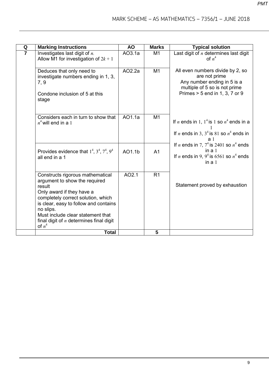| Q              | <b>Marking Instructions</b>                                                                                                                                                                                                                                                                        | <b>AO</b> | <b>Marks</b>    | <b>Typical solution</b>                                                                                                                               |
|----------------|----------------------------------------------------------------------------------------------------------------------------------------------------------------------------------------------------------------------------------------------------------------------------------------------------|-----------|-----------------|-------------------------------------------------------------------------------------------------------------------------------------------------------|
| $\overline{7}$ | Investigates last digit of $n$ .<br>Allow M1 for investigation of $2k + 1$                                                                                                                                                                                                                         | AO3.1a    | M1              | Last digit of $n$ determines last digit<br>of $n^4$                                                                                                   |
|                | Deduces that only need to<br>investigate numbers ending in 1, 3,<br>7, 9<br>Condone inclusion of 5 at this<br>stage                                                                                                                                                                                | AO2.2a    | $\overline{M1}$ | All even numbers divide by 2, so<br>are not prime<br>Any number ending in 5 is a<br>multiple of 5 so is not prime<br>Primes $> 5$ end in 1, 3, 7 or 9 |
|                | Considers each in turn to show that<br>$n^4$ will end in a 1                                                                                                                                                                                                                                       | A01.1a    | M1              | If <i>n</i> ends in 1, $1^4$ is 1 so $n^4$ ends in a<br>If <i>n</i> ends in 3, $3^4$ is 81 so $n^4$ ends in<br>aı                                     |
|                | Provides evidence that $1^4$ , $3^4$ , $7^4$ , $9^4$<br>all end in a 1                                                                                                                                                                                                                             | AO1.1b    | A <sub>1</sub>  | If <i>n</i> ends in 7, $74$ is 2401 so $n4$ ends<br>in $a1$<br>If <i>n</i> ends in 9, $9^4$ is 6561 so $n^4$ ends<br>in $a1$                          |
|                | Constructs rigorous mathematical<br>argument to show the required<br>result<br>Only award if they have a<br>completely correct solution, which<br>is clear, easy to follow and contains<br>no slips.<br>Must include clear statement that<br>final digit of $n$ determines final digit<br>of $n^4$ | AO2.1     | R <sub>1</sub>  | Statement proved by exhaustion                                                                                                                        |
|                | <b>Total</b>                                                                                                                                                                                                                                                                                       |           | 5               |                                                                                                                                                       |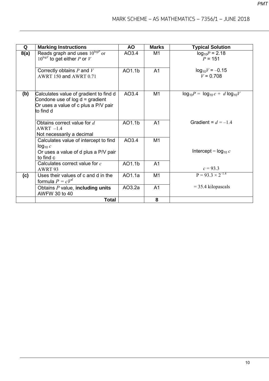| Q    | <b>Marking Instructions</b>                                                                                                      | <b>AO</b> | <b>Marks</b>   | <b>Typical Solution</b>               |
|------|----------------------------------------------------------------------------------------------------------------------------------|-----------|----------------|---------------------------------------|
| 8(a) | Reads graph and uses $10^{\log P}$ or<br>$10^{\log V}$ to get either P or V                                                      | AO3.4     | M <sub>1</sub> | $log_{10}P = 2.18$<br>$P = 151$       |
|      | Correctly obtains $P$ and $V$<br>AWRT 150 and AWRT 0.71                                                                          | AO1.1b    | A <sub>1</sub> | $log_{10}V = -0.15$<br>$V = 0.708$    |
| (b)  | Calculates value of gradient to find d<br>Condone use of $log d =$ gradient<br>Or uses a value of c plus a P/V pair<br>to find d | AO3.4     | M1             | $log_{10}P = log_{10}c + d log_{10}V$ |
|      | Obtains correct value for d<br>$AWRT -1.4$<br>Not necessarily a decimal                                                          | AO1.1b    | A <sub>1</sub> | Gradient = $d = -1.4$                 |
|      | Calculates value of intercept to find<br>$log_{10} c$<br>Or uses a value of d plus a P/V pair<br>to find c                       | AO3.4     | M <sub>1</sub> | Intercept = $log_{10} c$              |
|      | Calculates correct value for c<br>AWRT 93                                                                                        | AO1.1b    | A <sub>1</sub> | $c = 93.3$                            |
| (c)  | Uses their values of c and d in the<br>formula $P = cV^d$                                                                        | AO1.1a    | M <sub>1</sub> | $P = 93.3 \times 2^{-1.4}$            |
|      | Obtains $P$ value, including units<br>AWFW 30 to 40                                                                              | AO3.2a    | A1             | $=$ 35.4 kilopascals                  |
|      | <b>Total</b>                                                                                                                     |           | 8              |                                       |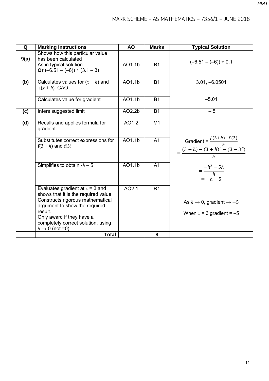| Q    | <b>Marking Instructions</b>                                                                                                                                                                                                                                | <b>AO</b> | <b>Marks</b>   | <b>Typical Solution</b>                                                   |
|------|------------------------------------------------------------------------------------------------------------------------------------------------------------------------------------------------------------------------------------------------------------|-----------|----------------|---------------------------------------------------------------------------|
| 9(a) | Shows how this particular value<br>has been calculated<br>As in typical solution<br>Or $(-6.51 - (-6)) \div (3.1 - 3)$                                                                                                                                     | AO1.1b    | <b>B1</b>      | $(-6.51 - (-6)) \div 0.1$                                                 |
| (b)  | Calculates values for $(x + h)$ and<br>$f(x+h)$ CAO                                                                                                                                                                                                        | AO1.1b    | <b>B1</b>      | $3.01, -6.0501$                                                           |
|      | Calculates value for gradient                                                                                                                                                                                                                              | AO1.1b    | <b>B1</b>      | $-5.01$                                                                   |
| (c)  | Infers suggested limit                                                                                                                                                                                                                                     | AO2.2b    | <b>B1</b>      | $-5$                                                                      |
| (d)  | Recalls and applies formula for<br>gradient                                                                                                                                                                                                                | AO1.2     | M <sub>1</sub> |                                                                           |
|      | Substitutes correct expressions for<br>$f(3 + h)$ and $f(3)$                                                                                                                                                                                               | AO1.1b    | A <sub>1</sub> | Gradient = $\frac{f(3+h)-f(3)}{h}$<br>= $\frac{(3+h)-(3+h)^2-(3-3^2)}{h}$ |
|      | Simplifies to obtain $-h-5$                                                                                                                                                                                                                                | AO1.1b    | A <sub>1</sub> | $=\frac{-h^2-5h}{h}$<br>$=-h-5$                                           |
|      | Evaluates gradient at $x = 3$ and<br>shows that it is the required value.<br>Constructs rigorous mathematical<br>argument to show the required<br>result.<br>Only award if they have a<br>completely correct solution, using<br>$h \rightarrow 0$ (not =0) | AO2.1     | R <sub>1</sub> | As $h \to 0$ , gradient $\to -5$<br>When $x = 3$ gradient = -5            |
|      | <b>Total</b>                                                                                                                                                                                                                                               |           | 8              |                                                                           |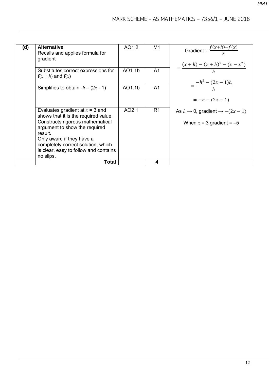| (d) | <b>Alternative</b><br>Recalls and applies formula for<br>gradient                                                                                                                                                                                                                  | AO1.2  | M1             | Gradient = $\frac{f(x+h)-f(x)}{h}$<br>$=\frac{(x+h)-(x+h)^2-(x-x^2)}{h}$ |
|-----|------------------------------------------------------------------------------------------------------------------------------------------------------------------------------------------------------------------------------------------------------------------------------------|--------|----------------|--------------------------------------------------------------------------|
|     | Substitutes correct expressions for<br>$f(x+h)$ and $f(x)$                                                                                                                                                                                                                         | AO1.1b | A <sub>1</sub> |                                                                          |
|     | Simplifies to obtain $-h - (2x - 1)$                                                                                                                                                                                                                                               | AO1.1b | A <sub>1</sub> | $=\frac{-h^2-(2x-1)h}{h}$<br>$=-h-(2x-1)$                                |
|     | Evaluates gradient at $x = 3$ and<br>shows that it is the required value.<br>Constructs rigorous mathematical<br>argument to show the required<br>result.<br>Only award if they have a<br>completely correct solution, which<br>is clear, easy to follow and contains<br>no slips. | AO2.1  | R <sub>1</sub> | As $h \to 0$ , gradient $\to -(2x-1)$<br>When $x = 3$ gradient = -5      |
|     | <b>Total</b>                                                                                                                                                                                                                                                                       |        | 4              |                                                                          |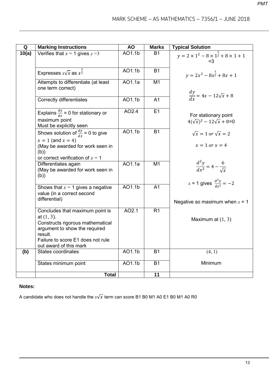| Q     | <b>Marking Instructions</b>                                                                                                                                                                     | <b>AO</b> | <b>Marks</b>   | <b>Typical Solution</b>                                                  |
|-------|-------------------------------------------------------------------------------------------------------------------------------------------------------------------------------------------------|-----------|----------------|--------------------------------------------------------------------------|
| 10(a) | Verifies that $x = 1$ gives $y = 3$                                                                                                                                                             | AO1.1b    | <b>B1</b>      | $y = 2 \times 1^2 - 8 \times 1^{\frac{3}{2}} + 8 \times 1 + 1$           |
|       |                                                                                                                                                                                                 |           |                | $=3$                                                                     |
|       | Expresses $x\sqrt{x}$ as $x^{\frac{3}{2}}$                                                                                                                                                      | AO1.1b    | <b>B1</b>      | $v = 2x^2 - 8x^{\frac{3}{2}} + 8x + 1$                                   |
|       | Attempts to differentiate (at least<br>one term correct)                                                                                                                                        | AO1.1a    | M1             |                                                                          |
|       | <b>Correctly differentiates</b>                                                                                                                                                                 | AO1.1b    | A <sub>1</sub> | $\frac{dy}{dx} = 4x - 12\sqrt{x} + 8$                                    |
|       | Explains $\frac{dy}{dx}$ = 0 for stationary or<br>maximum point<br>Must be explicitly seen                                                                                                      | AO2.4     | E1             | For stationary point<br>$4(\sqrt{x})^2 - 12\sqrt{x} + 8=0$               |
|       | Shows solution of $\frac{dy}{dx}$ = 0 to give                                                                                                                                                   | AO1.1b    | <b>B1</b>      | $\sqrt{x} = 1$ or $\sqrt{x} = 2$                                         |
|       | $x = 1$ (and $x = 4$ )<br>(May be awarded for work seen in<br>(b))<br>or correct verification of $x = 1$                                                                                        |           |                | $x = 1$ or $x = 4$                                                       |
|       | Differentiates again<br>(May be awarded for work seen in<br>(b))                                                                                                                                | A01.1a    | M1             | $\frac{d^2y}{dx^2} = 4 - \frac{6}{\sqrt{x}}$                             |
|       | Shows that $x = 1$ gives a negative<br>value (in a correct second<br>differential)                                                                                                              | AO1.1b    | A <sub>1</sub> | x = 1 gives $\frac{d^2y}{dx^2} = -2$<br>Negative so maximum when $x = 1$ |
|       | Concludes that maximum point is<br>at $(1, 3)$ .<br>Constructs rigorous mathematical<br>argument to show the required<br>result.<br>Failure to score E1 does not rule<br>out award of this mark | AO2.1     | R <sub>1</sub> | Maximum at $(1, 3)$                                                      |
| (b)   | <b>States coordinates</b>                                                                                                                                                                       | AO1.1b    | <b>B1</b>      | (4, 1)                                                                   |
|       | States minimum point                                                                                                                                                                            | AO1.1b    | <b>B1</b>      | Minimum                                                                  |
|       | <b>Total</b>                                                                                                                                                                                    |           | 11             |                                                                          |

#### **Notes:**

A candidate who does not handle the  $x\sqrt{x}$  term can score B1 B0 M1 A0 E1 B0 M1 A0 R0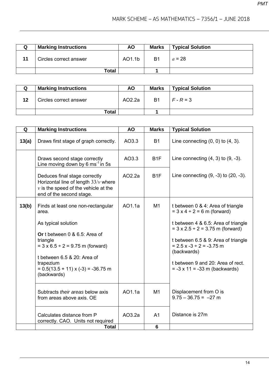| <b>Marking Instructions</b> | <b>AO</b> | <b>Marks</b> | <b>Typical Solution</b> |
|-----------------------------|-----------|--------------|-------------------------|
| Circles correct answer      | AO1.1b    | -B1          | $a = 28$                |
| Total                       |           |              |                         |

| Q  | <b>Marking Instructions</b> | <b>AO</b> | <b>Marks</b> | <b>Typical Solution</b> |
|----|-----------------------------|-----------|--------------|-------------------------|
| 12 | Circles correct answer      | AO2.2a    | B1           | $F - R = 3$             |
|    | <b>Total</b>                |           |              |                         |

| Q     | <b>Marking Instructions</b>                                                                                                                                                                                            | <b>AO</b> | <b>Marks</b>     | <b>Typical Solution</b>                                                                                                                                                                                                                                |
|-------|------------------------------------------------------------------------------------------------------------------------------------------------------------------------------------------------------------------------|-----------|------------------|--------------------------------------------------------------------------------------------------------------------------------------------------------------------------------------------------------------------------------------------------------|
| 13(a) | Draws first stage of graph correctly.                                                                                                                                                                                  | AO3.3     | <b>B1</b>        | Line connecting $(0, 0)$ to $(4, 3)$ .                                                                                                                                                                                                                 |
|       | Draws second stage correctly<br>Line moving down by 6 ms <sup>-1</sup> in 5s                                                                                                                                           | AO3.3     | B <sub>1</sub> F | Line connecting $(4, 3)$ to $(9, -3)$ .                                                                                                                                                                                                                |
|       | Deduces final stage correctly<br>Horizontal line of length $33/v$ where<br>$\nu$ is the speed of the vehicle at the<br>end of the second stage.                                                                        | AO2.2a    | B <sub>1</sub> F | Line connecting $(9, -3)$ to $(20, -3)$ .                                                                                                                                                                                                              |
| 13(b) | Finds at least one non-rectangular<br>area.                                                                                                                                                                            | AO1.1a    | M1               | t between 0 & 4: Area of triangle<br>$= 3 \times 4 \div 2 = 6 \text{ m (forward)}$                                                                                                                                                                     |
|       | As typical solution<br>Or t between 0 & 6.5: Area of<br>triangle<br>$= 3 \times 6.5 \div 2 = 9.75$ m (forward)<br>t between 6.5 & 20: Area of<br>trapezium<br>$= 0.5(13.5 + 11) \times (-3) = -36.75$ m<br>(backwards) |           |                  | t between 4 & 6.5: Area of triangle<br>$= 3 \times 2.5 \div 2 = 3.75$ m (forward)<br>t between 6.5 & 9: Area of triangle<br>$= 2.5 x - 3 \div 2 = -3.75 m$<br>(backwards)<br>t between 9 and 20: Area of rect.<br>$= -3 \times 11 = -33$ m (backwards) |
|       | Subtracts their areas below axis<br>from areas above axis. OE                                                                                                                                                          | AO1.1a    | M1               | Displacement from O is<br>$9.75 - 36.75 = -27$ m                                                                                                                                                                                                       |
|       | Calculates distance from P<br>correctly. CAO. Units not required                                                                                                                                                       | AO3.2a    | A <sub>1</sub>   | Distance is 27m                                                                                                                                                                                                                                        |
|       | Total                                                                                                                                                                                                                  |           | 6                |                                                                                                                                                                                                                                                        |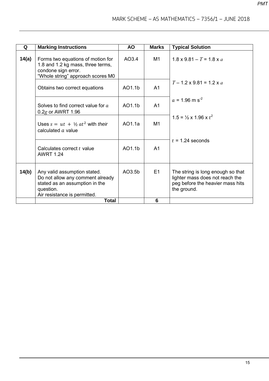| Q     | <b>Marking Instructions</b>                                                                                                                     | <b>AO</b> | <b>Marks</b>   | <b>Typical Solution</b>                                                                                                 |
|-------|-------------------------------------------------------------------------------------------------------------------------------------------------|-----------|----------------|-------------------------------------------------------------------------------------------------------------------------|
| 14(a) | Forms two equations of motion for<br>1.8 and 1.2 kg mass, three terms,<br>condone sign error.<br>"Whole string" approach scores M0              | AO3.4     | M1             | $1.8 \times 9.81 - T = 1.8 \times a$                                                                                    |
|       | Obtains two correct equations                                                                                                                   | AO1.1b    | A <sub>1</sub> | $T - 1.2 \times 9.81 = 1.2 \times a$                                                                                    |
|       | Solves to find correct value for a<br>$0.2g$ or AWRT 1.96                                                                                       | AO1.1b    | A <sub>1</sub> | $a = 1.96$ m s <sup>-2</sup>                                                                                            |
|       | Uses $s = ut + \frac{1}{2}at^2$ with their<br>calculated $a$ value                                                                              | AO1.1a    | M1             | $1.5 = \frac{1}{2} \times 1.96 \times t^2$                                                                              |
|       | Calculates correct t value<br><b>AWRT 1.24</b>                                                                                                  | AO1.1b    | A <sub>1</sub> | $t = 1.24$ seconds                                                                                                      |
| 14(b) | Any valid assumption stated.<br>Do not allow any comment already<br>stated as an assumption in the<br>question.<br>Air resistance is permitted. | AO3.5b    | E1             | The string is long enough so that<br>lighter mass does not reach the<br>peg before the heavier mass hits<br>the ground. |
|       | <b>Total</b>                                                                                                                                    |           | 6              |                                                                                                                         |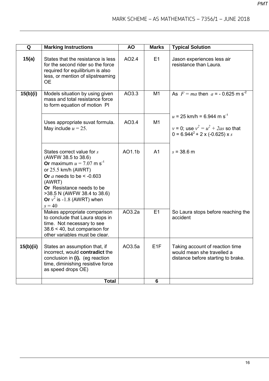| Q         | <b>Marking Instructions</b>                                                                                                                                                                                                                                                   | <b>AO</b> | <b>Marks</b>     | <b>Typical Solution</b>                                                                                                          |
|-----------|-------------------------------------------------------------------------------------------------------------------------------------------------------------------------------------------------------------------------------------------------------------------------------|-----------|------------------|----------------------------------------------------------------------------------------------------------------------------------|
| 15(a)     | States that the resistance is less<br>for the second rider so the force<br>required for equilibrium is also<br>less, or mention of slipstreaming<br><b>OE</b>                                                                                                                 | AO2.4     | E1               | Jason experiences less air<br>resistance than Laura.                                                                             |
| 15(b)(i)  | Models situation by using given<br>mass and total resistance force<br>to form equation of motion PI                                                                                                                                                                           | AO3.3     | M <sub>1</sub>   | As $F = ma$ then $a = -0.625$ m s <sup>-2</sup>                                                                                  |
|           | Uses appropriate suvat formula.<br>May include $u = 25$ .                                                                                                                                                                                                                     | AO3.4     | M <sub>1</sub>   | $u = 25$ km/h = 6.944 m s <sup>-1</sup><br>$v = 0$ ; use $v^2 = u^2 + 2as$ so that<br>$0 = 6.944^2 + 2 \times (-0.625) \times s$ |
|           | States correct value for s<br>(AWFW 38.5 to 38.6)<br><b>Or</b> maximum $u = 7.07$ m s <sup>-1</sup><br>or $25.5$ km/h (AWRT)<br>Or $a$ needs to be < -0.603<br>(AWRT)<br>Or Resistance needs to be<br>>38.5 N (AWFW 38.4 to 38.6)<br>Or $v^2$ is -1.8 (AWRT) when<br>$s = 40$ | AO1.1b    | A <sub>1</sub>   | $s = 38.6$ m                                                                                                                     |
|           | Makes appropriate comparison<br>to conclude that Laura stops in<br>time. Not necessary to see<br>$38.6 < 40$ , but comparison for<br>other variables must be clear.                                                                                                           | AO3.2a    | E1               | So Laura stops before reaching the<br>accident                                                                                   |
| 15(b)(ii) | States an assumption that, if<br>incorrect, would contradict the<br>conclusion in (i). (eg reaction<br>time, diminishing resistive force<br>as speed drops OE)                                                                                                                | AO3.5a    | E <sub>1</sub> F | Taking account of reaction time<br>would mean she travelled a<br>distance before starting to brake.                              |
|           | <b>Total</b>                                                                                                                                                                                                                                                                  |           | 6                |                                                                                                                                  |